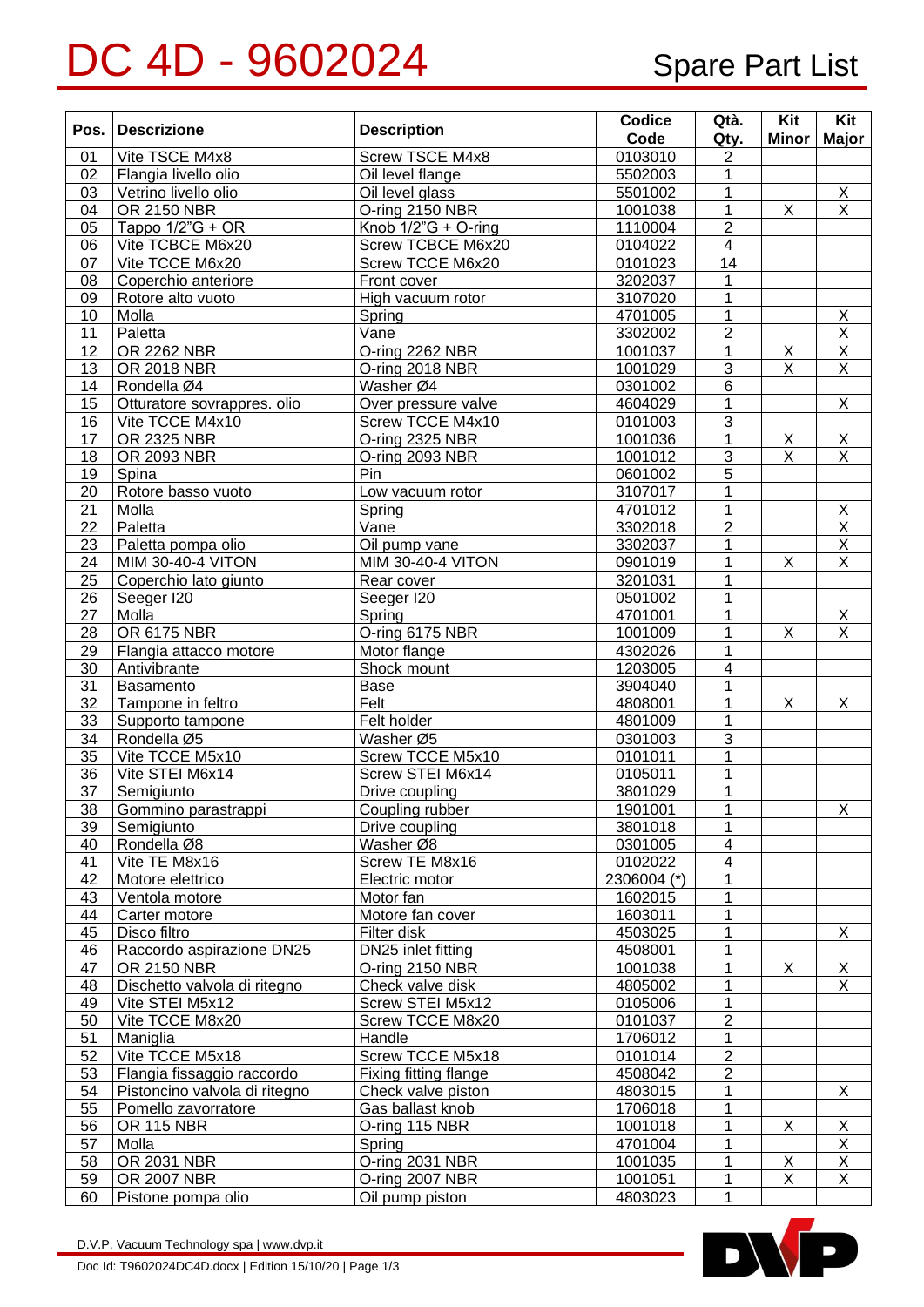## DC 4D - 9602024 Spare Part List

| Pos.     | <b>Descrizione</b>                           | <b>Description</b>                  | Codice<br>Code     | Qtà.                    | Kit<br><b>Minor</b>     | Kit<br><b>Major</b>              |
|----------|----------------------------------------------|-------------------------------------|--------------------|-------------------------|-------------------------|----------------------------------|
|          |                                              |                                     |                    | Qty.                    |                         |                                  |
| 01<br>02 | Vite TSCE M4x8                               | <b>Screw TSCE M4x8</b>              | 0103010<br>5502003 | $\overline{c}$<br>1     |                         |                                  |
| 03       | Flangia livello olio<br>Vetrino livello olio | Oil level flange<br>Oil level glass | 5501002            | 1                       |                         |                                  |
| 04       | <b>OR 2150 NBR</b>                           | O-ring 2150 NBR                     | 1001038            | $\overline{1}$          | $\overline{X}$          | $\frac{\mathsf{X}}{\mathsf{X}}$  |
| 05       | Tappo 1/2"G + OR                             | Knob $1/2$ "G + O-ring              | 1110004            | $\overline{2}$          |                         |                                  |
| 06       | Vite TCBCE M6x20                             | Screw TCBCE M6x20                   | 0104022            | $\overline{\mathbf{4}}$ |                         |                                  |
| 07       | Vite TCCE M6x20                              | Screw TCCE M6x20                    | 0101023            | $\overline{14}$         |                         |                                  |
| 08       | Coperchio anteriore                          | Front cover                         | 3202037            | 1                       |                         |                                  |
| 09       | Rotore alto vuoto                            | High vacuum rotor                   | 3107020            | $\mathbf{1}$            |                         |                                  |
| 10       | Molla                                        | Spring                              | 4701005            | 1                       |                         | $\overline{X}$                   |
| 11       | Paletta                                      | Vane                                | 3302002            | $\overline{2}$          |                         | $\overline{\mathsf{X}}$          |
| 12       | OR 2262 NBR                                  | O-ring 2262 NBR                     | 1001037            | $\mathbf{1}$            | X                       | $\overline{\mathsf{x}}$          |
| 13       | OR 2018 NBR                                  | O-ring 2018 NBR                     | 1001029            | $\overline{3}$          | $\overline{\mathsf{x}}$ | $\overline{\mathsf{x}}$          |
| 14       | Rondella Ø4                                  | Washer Ø4                           | 0301002            | 6                       |                         |                                  |
| 15       | Otturatore sovrappres. olio                  | Over pressure valve                 | 4604029            | 1                       |                         | $\overline{X}$                   |
| 16       | Vite TCCE M4x10                              | Screw TCCE M4x10                    | 0101003            | 3                       |                         |                                  |
| 17       | OR 2325 NBR                                  | O-ring 2325 NBR                     | 1001036            | 1                       | X                       | $\mathsf X$                      |
| 18       | OR 2093 NBR                                  | O-ring 2093 NBR                     | 1001012            | $\overline{3}$          | X                       | $\overline{X}$                   |
| 19       | Spina                                        | Pin                                 | 0601002            | 5                       |                         |                                  |
| 20       | Rotore basso vuoto                           | Low vacuum rotor                    | 3107017            | $\mathbf{1}$            |                         |                                  |
| 21       | Molla                                        | Spring                              | 4701012            | $\mathbf 1$             |                         | $\overline{X}$                   |
| 22       | Paletta                                      | Vane                                | 3302018            | $\overline{2}$          |                         | $\overline{\mathsf{x}}$          |
| 23       | Paletta pompa olio                           | Oil pump vane                       | 3302037            | $\mathbf{1}$            |                         | $\overline{\mathsf{x}}$          |
| 24       | <b>MIM 30-40-4 VITON</b>                     | <b>MIM 30-40-4 VITON</b>            | 0901019            | 1                       | $\overline{X}$          | $\overline{X}$                   |
| 25       | Coperchio lato giunto                        | Rear cover                          | 3201031            | 1                       |                         |                                  |
| 26       | Seeger I20                                   | Seeger I20                          | 0501002            | 1                       |                         |                                  |
| 27       | Molla                                        | Spring                              | 4701001            | 1                       |                         |                                  |
| 28       | OR 6175 NBR                                  | O-ring 6175 NBR                     | 1001009            | 1                       | X                       | $\frac{\mathsf{X}}{\mathsf{X}}$  |
| 29       | Flangia attacco motore                       | Motor flange                        | 4302026            | 1                       |                         |                                  |
| 30       | Antivibrante                                 | Shock mount                         | 1203005            | $\overline{\mathbf{4}}$ |                         |                                  |
| 31       | Basamento                                    | Base                                | 3904040            | 1                       |                         |                                  |
| 32       | Tampone in feltro                            | Felt                                | 4808001            | 1                       | $\overline{X}$          | $\overline{X}$                   |
| 33       | Supporto tampone                             | Felt holder                         | 4801009            | $\mathbf{1}$            |                         |                                  |
| 34       | Rondella Ø5                                  | Washer Ø5                           | 0301003            | 3                       |                         |                                  |
| 35       | Vite TCCE M5x10                              | <b>Screw TCCE M5x10</b>             | 0101011            | 1                       |                         |                                  |
| 36       | Vite STEI M6x14                              | Screw STEI M6x14                    | 0105011            | 1                       |                         |                                  |
| 37       | Semigiunto                                   | Drive coupling                      | 3801029            | $\mathbf 1$             |                         |                                  |
| 38       | Gommino parastrappi                          | Coupling rubber                     | 1901001            | 1                       |                         | $\mathsf X$                      |
| 39       | Semigiunto                                   | Drive coupling                      | 3801018            | $\mathbf{1}$            |                         |                                  |
| 40       | Rondella Ø8                                  | Washer Ø8                           | 0301005            | $\overline{\mathbf{4}}$ |                         |                                  |
| 41       | Vite TE M8x16                                | Screw TE M8x16                      | 0102022            | $\overline{\mathbf{4}}$ |                         |                                  |
| 42       | Motore elettrico                             | Electric motor                      | 2306004 (*)        | 1                       |                         |                                  |
| 43       | Ventola motore                               | Motor fan                           | 1602015            | 1                       |                         |                                  |
| 44       | Carter motore                                | Motore fan cover                    | 1603011            | 1                       |                         |                                  |
| 45       | Disco filtro                                 | Filter disk                         | 4503025            | 1                       |                         | X                                |
| 46       | Raccordo aspirazione DN25                    | DN25 inlet fitting                  | 4508001            | 1                       |                         |                                  |
| 47       | OR 2150 NBR                                  | O-ring 2150 NBR                     | 1001038            | 1                       | X                       | $\overline{X}$                   |
| 48       | Dischetto valvola di ritegno                 | Check valve disk                    | 4805002            | 1                       |                         | X                                |
| 49       | Vite STEI M5x12                              | Screw STEI M5x12                    | 0105006            | 1                       |                         |                                  |
| 50       | Vite TCCE M8x20                              | Screw TCCE M8x20                    | 0101037            | $\overline{2}$          |                         |                                  |
| 51       | Maniglia                                     | Handle                              | 1706012            | $\mathbf{1}$            |                         |                                  |
| 52       | Vite TCCE M5x18                              | Screw TCCE M5x18                    | 0101014            | $\boldsymbol{2}$        |                         |                                  |
| 53       | Flangia fissaggio raccordo                   | Fixing fitting flange               | 4508042            | $\overline{2}$          |                         |                                  |
| 54       | Pistoncino valvola di ritegno                | Check valve piston                  | 4803015            | 1                       |                         | X                                |
| 55       | Pomello zavorratore                          | Gas ballast knob                    | 1706018            | 1                       |                         |                                  |
| 56       | <b>OR 115 NBR</b>                            | O-ring 115 NBR                      | 1001018            | 1                       | X                       | X                                |
| 57       | Molla                                        | Spring                              | 4701004            | 1                       |                         | $\overline{\mathsf{X}}$          |
| 58       | OR 2031 NBR                                  | O-ring 2031 NBR                     | 1001035            | 1                       | X<br>$\overline{X}$     | $\overline{X}$<br>$\overline{X}$ |
| 59       | OR 2007 NBR                                  | O-ring 2007 NBR                     | 1001051            | 1                       |                         |                                  |
| 60       | Pistone pompa olio                           | Oil pump piston                     | 4803023            | $\mathbf{1}$            |                         |                                  |

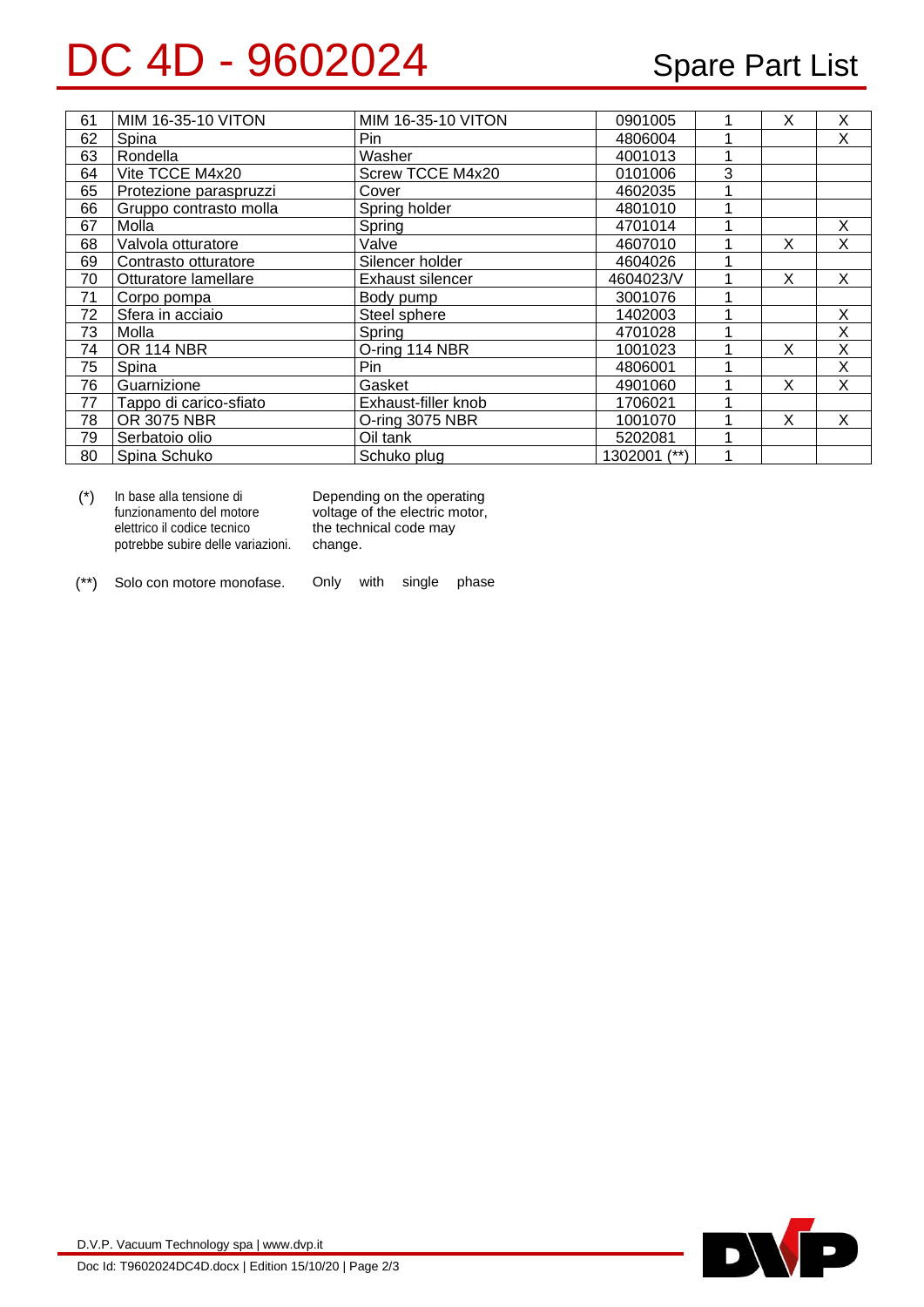## DC 4D - 9602024 Spare Part List

| 61 | MIM 16-35-10 VITON     | MIM 16-35-10 VITON  | 0901005      |   | X | Χ |
|----|------------------------|---------------------|--------------|---|---|---|
| 62 | Spina                  | Pin                 | 4806004      |   |   | X |
| 63 | Rondella               | Washer              | 4001013      |   |   |   |
| 64 | Vite TCCE M4x20        | Screw TCCE M4x20    | 0101006      | 3 |   |   |
| 65 | Protezione paraspruzzi | Cover               | 4602035      |   |   |   |
| 66 | Gruppo contrasto molla | Spring holder       | 4801010      |   |   |   |
| 67 | Molla                  | Spring              | 4701014      |   |   | X |
| 68 | Valvola otturatore     | Valve               | 4607010      |   | X | X |
| 69 | Contrasto otturatore   | Silencer holder     | 4604026      |   |   |   |
| 70 | Otturatore lamellare   | Exhaust silencer    | 4604023/V    |   | X | X |
| 71 | Corpo pompa            | Body pump           | 3001076      |   |   |   |
| 72 | Sfera in acciaio       | Steel sphere        | 1402003      |   |   | X |
| 73 | Molla                  | Spring              | 4701028      |   |   | X |
| 74 | <b>OR 114 NBR</b>      | O-ring 114 NBR      | 1001023      |   | X | X |
| 75 | Spina                  | Pin                 | 4806001      |   |   | X |
| 76 | Guarnizione            | Gasket              | 4901060      |   | X | X |
| 77 | Tappo di carico-sfiato | Exhaust-filler knob | 1706021      |   |   |   |
| 78 | OR 3075 NBR            | O-ring 3075 NBR     | 1001070      |   | X | X |
| 79 | Serbatoio olio         | Oil tank            | 5202081      |   |   |   |
| 80 | Spina Schuko           | Schuko plug         | 1302001 (**) |   |   |   |

| In base alla tensione di          | Depending on the operating     |  |  |
|-----------------------------------|--------------------------------|--|--|
| funzionamento del motore          | voltage of the electric motor, |  |  |
| elettrico il codice tecnico       | the technical code may         |  |  |
| potrebbe subire delle variazioni. | change.                        |  |  |
|                                   |                                |  |  |

(\*\*) Solo con motore monofase. Only with single phase